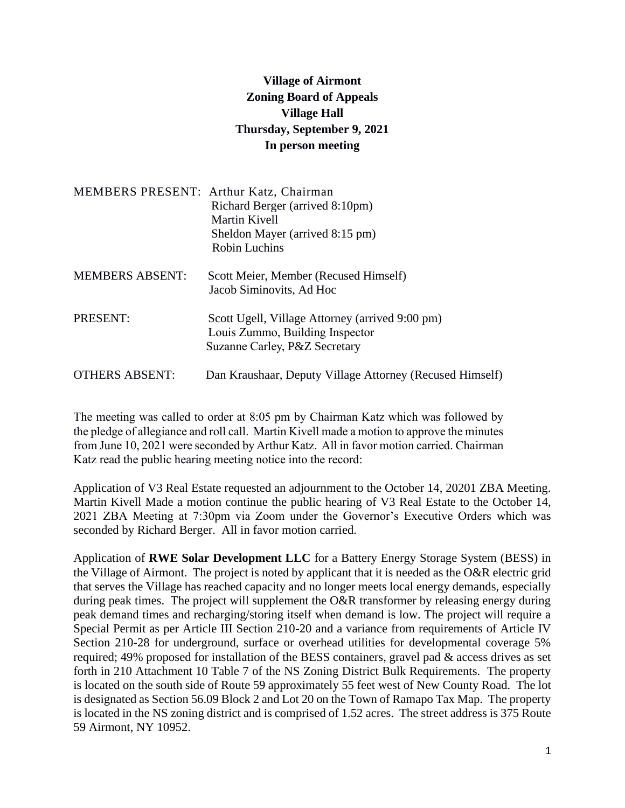## **Village of Airmont Zoning Board of Appeals Village Hall Thursday, September 9, 2021 In person meeting**

| <b>MEMBERS PRESENT: Arthur Katz, Chairman</b> | Richard Berger (arrived 8:10pm)<br>Martin Kivell<br>Sheldon Mayer (arrived 8:15 pm)<br><b>Robin Luchins</b>         |
|-----------------------------------------------|---------------------------------------------------------------------------------------------------------------------|
| <b>MEMBERS ABSENT:</b>                        | Scott Meier, Member (Recused Himself)<br>Jacob Siminovits, Ad Hoc                                                   |
| PRESENT:                                      | Scott Ugell, Village Attorney (arrived 9:00 pm)<br>Louis Zummo, Building Inspector<br>Suzanne Carley, P&Z Secretary |
| <b>OTHERS ABSENT:</b>                         | Dan Kraushaar, Deputy Village Attorney (Recused Himself)                                                            |

The meeting was called to order at 8:05 pm by Chairman Katz which was followed by the pledge of allegiance and roll call. Martin Kivell made a motion to approve the minutes from June 10, 2021 were seconded by Arthur Katz. All in favor motion carried. Chairman Katz read the public hearing meeting notice into the record:

Application of V3 Real Estate requested an adjournment to the October 14, 20201 ZBA Meeting. Martin Kivell Made a motion continue the public hearing of V3 Real Estate to the October 14, 2021 ZBA Meeting at 7:30pm via Zoom under the Governor's Executive Orders which was seconded by Richard Berger. All in favor motion carried.

Application of **RWE Solar Development LLC** for a Battery Energy Storage System (BESS) in the Village of Airmont. The project is noted by applicant that it is needed as the O&R electric grid that serves the Village has reached capacity and no longer meets local energy demands, especially during peak times. The project will supplement the O&R transformer by releasing energy during peak demand times and recharging/storing itself when demand is low. The project will require a Special Permit as per Article III Section 210-20 and a variance from requirements of Article IV Section 210-28 for underground, surface or overhead utilities for developmental coverage 5% required; 49% proposed for installation of the BESS containers, gravel pad & access drives as set forth in 210 Attachment 10 Table 7 of the NS Zoning District Bulk Requirements. The property is located on the south side of Route 59 approximately 55 feet west of New County Road. The lot is designated as Section 56.09 Block 2 and Lot 20 on the Town of Ramapo Tax Map. The property is located in the NS zoning district and is comprised of 1.52 acres. The street address is 375 Route 59 Airmont, NY 10952.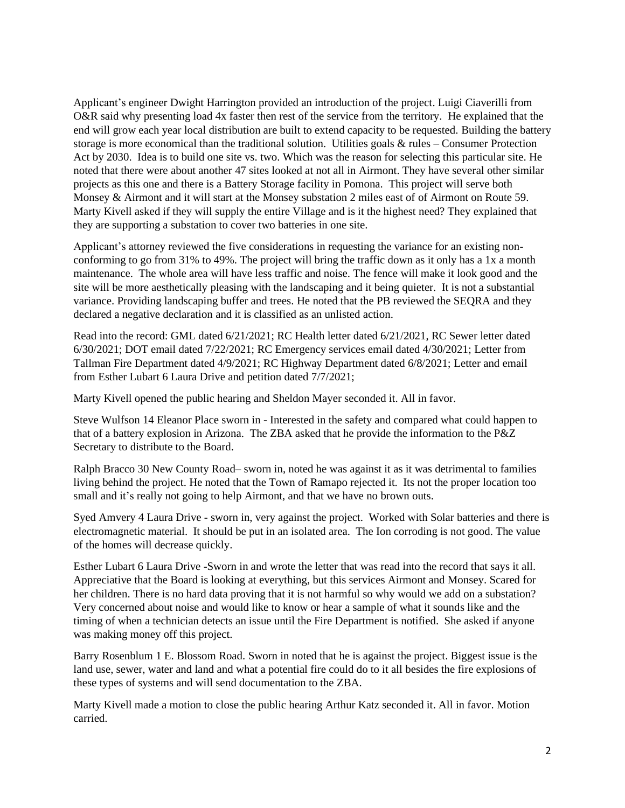Applicant's engineer Dwight Harrington provided an introduction of the project. Luigi Ciaverilli from O&R said why presenting load 4x faster then rest of the service from the territory. He explained that the end will grow each year local distribution are built to extend capacity to be requested. Building the battery storage is more economical than the traditional solution. Utilities goals & rules – Consumer Protection Act by 2030. Idea is to build one site vs. two. Which was the reason for selecting this particular site. He noted that there were about another 47 sites looked at not all in Airmont. They have several other similar projects as this one and there is a Battery Storage facility in Pomona. This project will serve both Monsey & Airmont and it will start at the Monsey substation 2 miles east of of Airmont on Route 59. Marty Kivell asked if they will supply the entire Village and is it the highest need? They explained that they are supporting a substation to cover two batteries in one site.

Applicant's attorney reviewed the five considerations in requesting the variance for an existing nonconforming to go from 31% to 49%. The project will bring the traffic down as it only has a 1x a month maintenance. The whole area will have less traffic and noise. The fence will make it look good and the site will be more aesthetically pleasing with the landscaping and it being quieter. It is not a substantial variance. Providing landscaping buffer and trees. He noted that the PB reviewed the SEQRA and they declared a negative declaration and it is classified as an unlisted action.

Read into the record: GML dated 6/21/2021; RC Health letter dated 6/21/2021, RC Sewer letter dated 6/30/2021; DOT email dated 7/22/2021; RC Emergency services email dated 4/30/2021; Letter from Tallman Fire Department dated 4/9/2021; RC Highway Department dated 6/8/2021; Letter and email from Esther Lubart 6 Laura Drive and petition dated 7/7/2021;

Marty Kivell opened the public hearing and Sheldon Mayer seconded it. All in favor.

Steve Wulfson 14 Eleanor Place sworn in - Interested in the safety and compared what could happen to that of a battery explosion in Arizona. The ZBA asked that he provide the information to the P&Z Secretary to distribute to the Board.

Ralph Bracco 30 New County Road– sworn in, noted he was against it as it was detrimental to families living behind the project. He noted that the Town of Ramapo rejected it. Its not the proper location too small and it's really not going to help Airmont, and that we have no brown outs.

Syed Amvery 4 Laura Drive - sworn in, very against the project. Worked with Solar batteries and there is electromagnetic material. It should be put in an isolated area. The Ion corroding is not good. The value of the homes will decrease quickly.

Esther Lubart 6 Laura Drive -Sworn in and wrote the letter that was read into the record that says it all. Appreciative that the Board is looking at everything, but this services Airmont and Monsey. Scared for her children. There is no hard data proving that it is not harmful so why would we add on a substation? Very concerned about noise and would like to know or hear a sample of what it sounds like and the timing of when a technician detects an issue until the Fire Department is notified. She asked if anyone was making money off this project.

Barry Rosenblum 1 E. Blossom Road. Sworn in noted that he is against the project. Biggest issue is the land use, sewer, water and land and what a potential fire could do to it all besides the fire explosions of these types of systems and will send documentation to the ZBA.

Marty Kivell made a motion to close the public hearing Arthur Katz seconded it. All in favor. Motion carried.